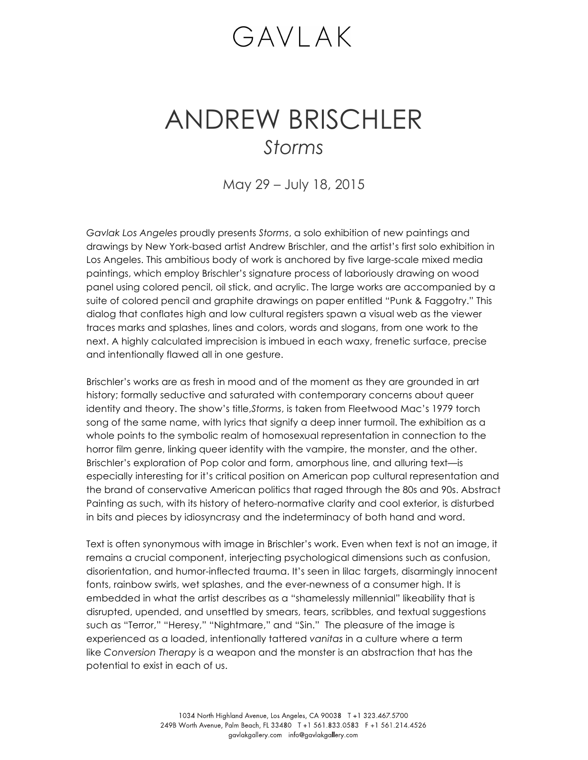## GAVLAK

## ANDREW BRISCHLER *Storms*

May 29 – July 18, 2015

*Gavlak Los Angeles* proudly presents *Storms*, a solo exhibition of new paintings and drawings by New York-based artist Andrew Brischler, and the artist's first solo exhibition in Los Angeles. This ambitious body of work is anchored by five large-scale mixed media paintings, which employ Brischler's signature process of laboriously drawing on wood panel using colored pencil, oil stick, and acrylic. The large works are accompanied by a suite of colored pencil and graphite drawings on paper entitled "Punk & Faggotry." This dialog that conflates high and low cultural registers spawn a visual web as the viewer traces marks and splashes, lines and colors, words and slogans, from one work to the next. A highly calculated imprecision is imbued in each waxy, frenetic surface, precise and intentionally flawed all in one gesture.

Brischler's works are as fresh in mood and of the moment as they are grounded in art history; formally seductive and saturated with contemporary concerns about queer identity and theory. The show's title,*Storms*, is taken from Fleetwood Mac's 1979 torch song of the same name, with lyrics that signify a deep inner turmoil. The exhibition as a whole points to the symbolic realm of homosexual representation in connection to the horror film genre, linking queer identity with the vampire, the monster, and the other. Brischler's exploration of Pop color and form, amorphous line, and alluring text—is especially interesting for it's critical position on American pop cultural representation and the brand of conservative American politics that raged through the 80s and 90s. Abstract Painting as such, with its history of hetero-normative clarity and cool exterior, is disturbed in bits and pieces by idiosyncrasy and the indeterminacy of both hand and word.

Text is often synonymous with image in Brischler's work. Even when text is not an image, it remains a crucial component, interjecting psychological dimensions such as confusion, disorientation, and humor-inflected trauma. It's seen in lilac targets, disarmingly innocent fonts, rainbow swirls, wet splashes, and the ever-newness of a consumer high. It is embedded in what the artist describes as a "shamelessly millennial" likeability that is disrupted, upended, and unsettled by smears, tears, scribbles, and textual suggestions such as "Terror," "Heresy," "Nightmare," and "Sin." The pleasure of the image is experienced as a loaded, intentionally tattered *vanitas* in a culture where a term like *Conversion Therapy* is a weapon and the monster is an abstraction that has the potential to exist in each of us.